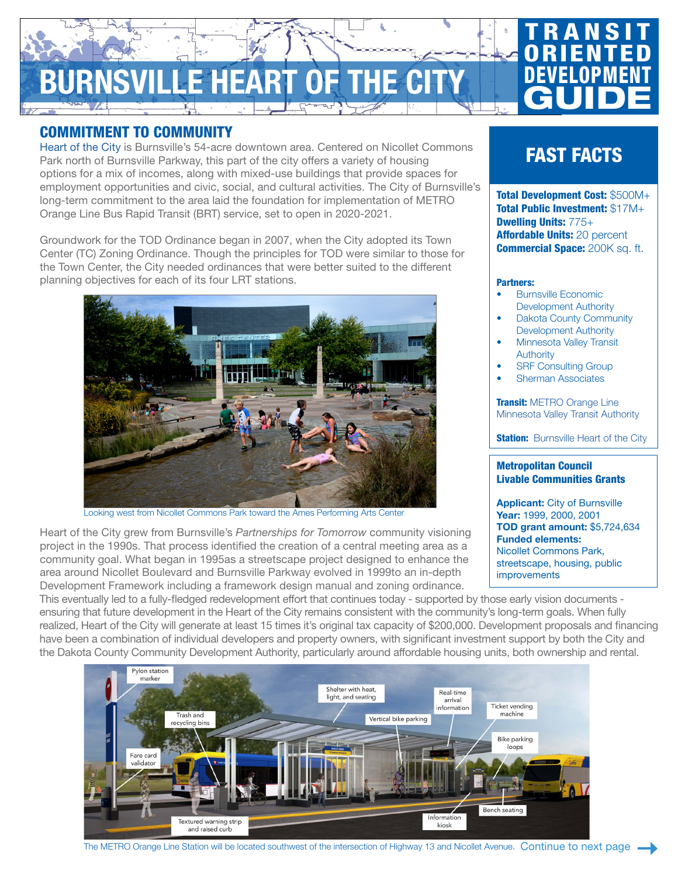# **IRNSVILLE HEART OF THE**

## COMMITMENT TO COMMUNITY

[Heart of the City](http://www.ci.burnsville.mn.us/index.aspx?NID=89) is Burnsville's 54-acre downtown area. Centered on Nicollet Commons Park north of Burnsville Parkway, this part of the city offers a variety of housing options for a mix of incomes, along with mixed-use buildings that provide spaces for employment opportunities and civic, social, and cultural activities. The City of Burnsville's long-term commitment to the area laid the foundation for implementation of METRO Orange Line Bus Rapid Transit (BRT) service, set to open in 2020-2021.

Groundwork for the TOD Ordinance began in 2007, when the City adopted its Town Center (TC) Zoning Ordinance. Though the principles for TOD were similar to those for the Town Center, the City needed ordinances that were better suited to the different planning objectives for each of its four LRT stations.



Looking west from Nicollet Commons Park toward the Ames Performing Arts Center

Heart of the City grew from Burnsville's *Partnerships for Tomorrow* community visioning project in the 1990s. That process identified the creation of a central meeting area as a community goal. What began in 1995as a streetscape project designed to enhance the area around Nicollet Boulevard and Burnsville Parkway evolved in 1999to an in-depth Development Framework including a framework design manual and zoning ordinance.

FAST FACTS

**TRANSIT ORIENTED** 

DEVELOPMENT

**GUIDE** 

Total Development Cost: \$500M+ Total Public Investment: \$17M+ Dwelling Units: 775+ Affordable Units: 20 percent **Commercial Space: 200K sq. ft.** 

#### Partners:

- Burnsville Economic Development Authority
- Dakota County Community Development Authority
- Minnesota Valley Transit Authority
- **SRF Consulting Group**
- Sherman Associates

**Transit: [METRO Orange Line](https://www.metrotransit.org/metro-orange-line)** [Minnesota Valley Transit Authority](https://www.mvta.com/)

**Station:** [Burnsville Heart of the City](https://www.metrotransit.org/orange-line-nicollet-avenue-station)

### Metropolitan Council Livable Communities Grants

Applicant: City of Burnsville Year: 1999, 2000, 2001 TOD grant amount: \$5,724,634 Funded elements: Nicollet Commons Park, streetscape, housing, public improvements

This eventually led to a fully-fledged redevelopment effort that continues today - supported by those early vision documents ensuring that future development in the Heart of the City remains consistent with the community's long-term goals. When fully realized, Heart of the City will generate at least 15 times it's original tax capacity of \$200,000. Development proposals and financing have been a combination of individual developers and property owners, with significant investment support by both the City and the Dakota County Community Development Authority, particularly around affordable housing units, both ownership and rental.